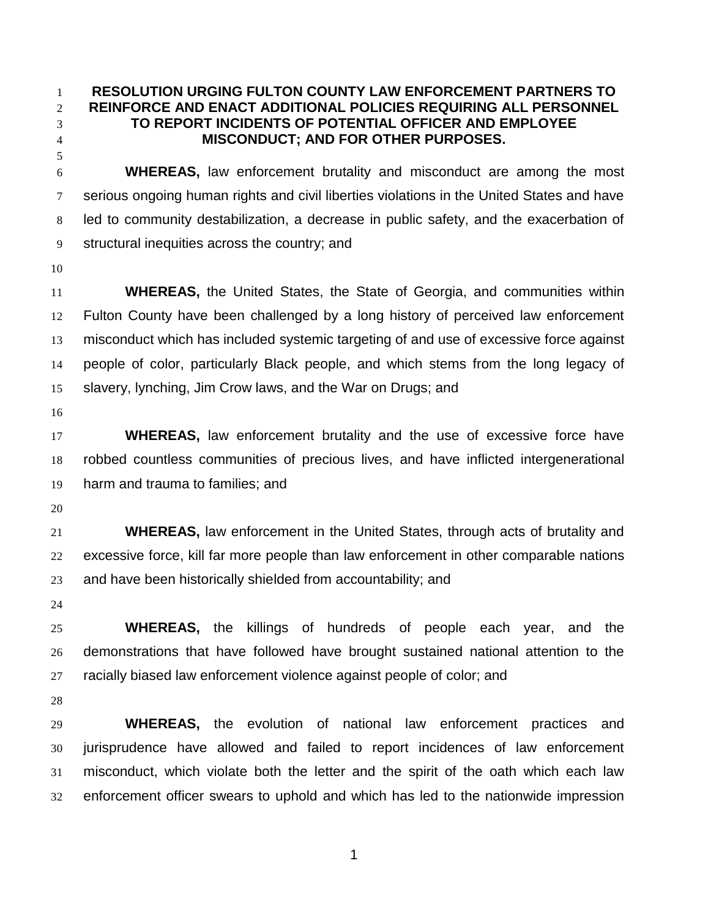## **RESOLUTION URGING FULTON COUNTY LAW ENFORCEMENT PARTNERS TO REINFORCE AND ENACT ADDITIONAL POLICIES REQUIRING ALL PERSONNEL TO REPORT INCIDENTS OF POTENTIAL OFFICER AND EMPLOYEE MISCONDUCT; AND FOR OTHER PURPOSES.**

 **WHEREAS,** law enforcement brutality and misconduct are among the most serious ongoing human rights and civil liberties violations in the United States and have led to community destabilization, a decrease in public safety, and the exacerbation of structural inequities across the country; and

 **WHEREAS,** the United States, the State of Georgia, and communities within Fulton County have been challenged by a long history of perceived law enforcement misconduct which has included systemic targeting of and use of excessive force against people of color, particularly Black people, and which stems from the long legacy of slavery, lynching, Jim Crow laws, and the War on Drugs; and

 **WHEREAS,** law enforcement brutality and the use of excessive force have robbed countless communities of precious lives, and have inflicted intergenerational harm and trauma to families; and

 **WHEREAS,** law enforcement in the United States, through acts of brutality and excessive force, kill far more people than law enforcement in other comparable nations and have been historically shielded from accountability; and

 **WHEREAS,** the killings of hundreds of people each year, and the demonstrations that have followed have brought sustained national attention to the racially biased law enforcement violence against people of color; and

 **WHEREAS,** the evolution of national law enforcement practices and jurisprudence have allowed and failed to report incidences of law enforcement misconduct, which violate both the letter and the spirit of the oath which each law enforcement officer swears to uphold and which has led to the nationwide impression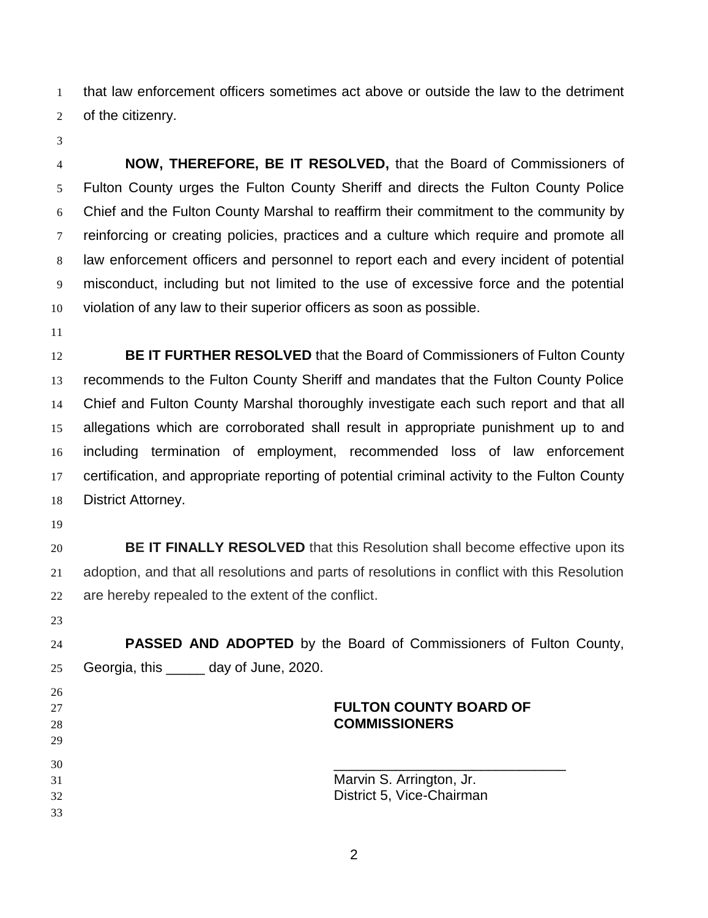that law enforcement officers sometimes act above or outside the law to the detriment of the citizenry.

 **NOW, THEREFORE, BE IT RESOLVED,** that the Board of Commissioners of Fulton County urges the Fulton County Sheriff and directs the Fulton County Police Chief and the Fulton County Marshal to reaffirm their commitment to the community by reinforcing or creating policies, practices and a culture which require and promote all law enforcement officers and personnel to report each and every incident of potential misconduct, including but not limited to the use of excessive force and the potential violation of any law to their superior officers as soon as possible.

 **BE IT FURTHER RESOLVED** that the Board of Commissioners of Fulton County recommends to the Fulton County Sheriff and mandates that the Fulton County Police Chief and Fulton County Marshal thoroughly investigate each such report and that all allegations which are corroborated shall result in appropriate punishment up to and including termination of employment, recommended loss of law enforcement certification, and appropriate reporting of potential criminal activity to the Fulton County District Attorney.

 **BE IT FINALLY RESOLVED** that this Resolution shall become effective upon its adoption, and that all resolutions and parts of resolutions in conflict with this Resolution are hereby repealed to the extent of the conflict.

 **PASSED AND ADOPTED** by the Board of Commissioners of Fulton County, Georgia, this \_\_\_\_\_ day of June, 2020.

## **FULTON COUNTY BOARD OF COMMISSIONERS**

 Marvin S. Arrington, Jr. District 5, Vice-Chairman